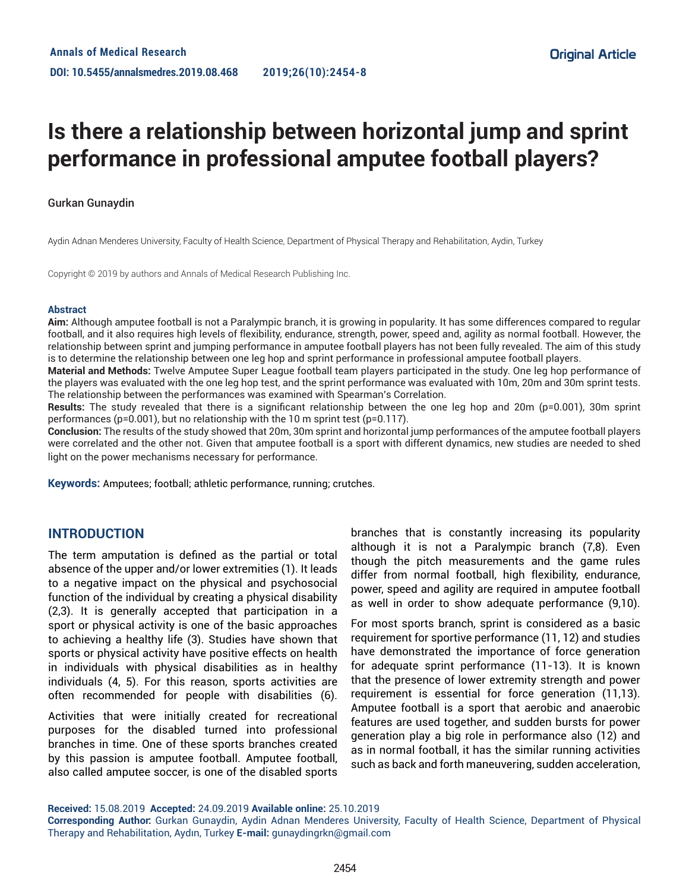# **Is there a relationship between horizontal jump and sprint performance in professional amputee football players?**

## Gurkan Gunaydin

Aydin Adnan Menderes University, Faculty of Health Science, Department of Physical Therapy and Rehabilitation, Aydin, Turkey

Copyright © 2019 by authors and Annals of Medical Research Publishing Inc.

#### **Abstract**

**Aim:** Although amputee football is not a Paralympic branch, it is growing in popularity. It has some differences compared to regular football, and it also requires high levels of flexibility, endurance, strength, power, speed and, agility as normal football. However, the relationship between sprint and jumping performance in amputee football players has not been fully revealed. The aim of this study is to determine the relationship between one leg hop and sprint performance in professional amputee football players.

**Material and Methods:** Twelve Amputee Super League football team players participated in the study. One leg hop performance of the players was evaluated with the one leg hop test, and the sprint performance was evaluated with 10m, 20m and 30m sprint tests. The relationship between the performances was examined with Spearman's Correlation.

**Results:** The study revealed that there is a significant relationship between the one leg hop and 20m (p=0.001), 30m sprint performances (p=0.001), but no relationship with the 10 m sprint test (p=0.117).

**Conclusion:** The results of the study showed that 20m, 30m sprint and horizontal jump performances of the amputee football players were correlated and the other not. Given that amputee football is a sport with different dynamics, new studies are needed to shed light on the power mechanisms necessary for performance.

**Keywords:** Amputees; football; athletic performance, running; crutches.

## **INTRODUCTION**

The term amputation is defined as the partial or total absence of the upper and/or lower extremities (1). It leads to a negative impact on the physical and psychosocial function of the individual by creating a physical disability (2,3). It is generally accepted that participation in a sport or physical activity is one of the basic approaches to achieving a healthy life (3). Studies have shown that sports or physical activity have positive effects on health in individuals with physical disabilities as in healthy individuals (4, 5). For this reason, sports activities are often recommended for people with disabilities (6).

Activities that were initially created for recreational purposes for the disabled turned into professional branches in time. One of these sports branches created by this passion is amputee football. Amputee football, also called amputee soccer, is one of the disabled sports

branches that is constantly increasing its popularity although it is not a Paralympic branch (7,8). Even though the pitch measurements and the game rules differ from normal football, high flexibility, endurance, power, speed and agility are required in amputee football as well in order to show adequate performance (9,10).

For most sports branch, sprint is considered as a basic requirement for sportive performance (11, 12) and studies have demonstrated the importance of force generation for adequate sprint performance (11-13). It is known that the presence of lower extremity strength and power requirement is essential for force generation (11,13). Amputee football is a sport that aerobic and anaerobic features are used together, and sudden bursts for power generation play a big role in performance also (12) and as in normal football, it has the similar running activities such as back and forth maneuvering, sudden acceleration,

**Received:** 15.08.2019 **Accepted:** 24.09.2019 **Available online:** 25.10.2019

**Corresponding Author:** Gurkan Gunaydin, Aydin Adnan Menderes University, Faculty of Health Science, Department of Physical Therapy and Rehabilitation, Aydın, Turkey **E-mail:** gunaydingrkn@gmail.com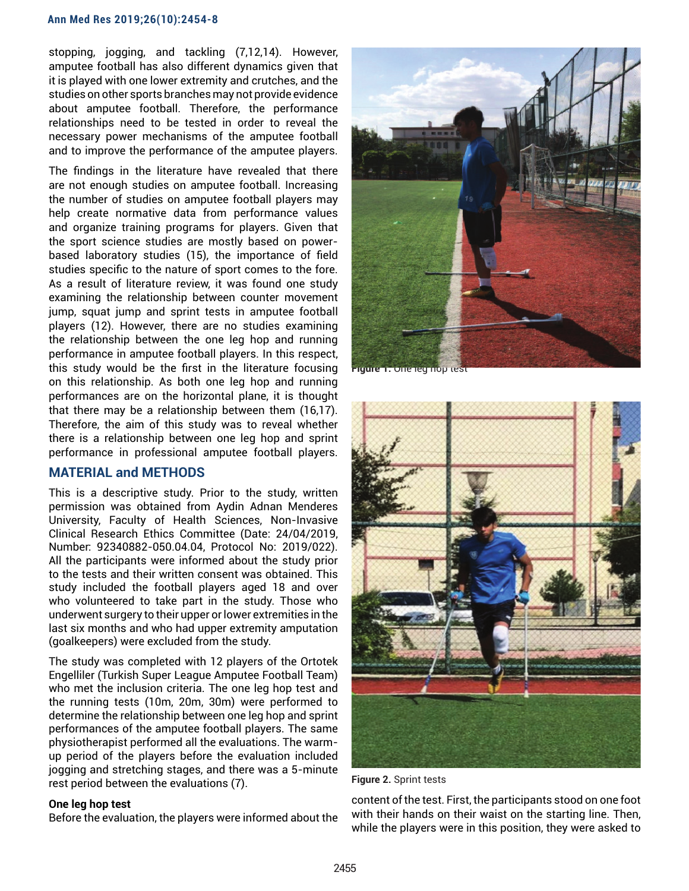stopping, jogging, and tackling (7,12,14). However, amputee football has also different dynamics given that it is played with one lower extremity and crutches, and the studies on other sports branches may not provide evidence about amputee football. Therefore, the performance relationships need to be tested in order to reveal the necessary power mechanisms of the amputee football and to improve the performance of the amputee players.

The findings in the literature have revealed that there are not enough studies on amputee football. Increasing the number of studies on amputee football players may help create normative data from performance values and organize training programs for players. Given that the sport science studies are mostly based on powerbased laboratory studies (15), the importance of field studies specific to the nature of sport comes to the fore. As a result of literature review, it was found one study examining the relationship between counter movement jump, squat jump and sprint tests in amputee football players (12). However, there are no studies examining the relationship between the one leg hop and running performance in amputee football players. In this respect, this study would be the first in the literature focusing on this relationship. As both one leg hop and running performances are on the horizontal plane, it is thought that there may be a relationship between them (16,17). Therefore, the aim of this study was to reveal whether there is a relationship between one leg hop and sprint performance in professional amputee football players.

# **MATERIAL and METHODS**

This is a descriptive study. Prior to the study, written permission was obtained from Aydin Adnan Menderes University, Faculty of Health Sciences, Non-Invasive Clinical Research Ethics Committee (Date: 24/04/2019, Number: 92340882-050.04.04, Protocol No: 2019/022). All the participants were informed about the study prior to the tests and their written consent was obtained. This study included the football players aged 18 and over who volunteered to take part in the study. Those who underwent surgery to their upper or lower extremities in the last six months and who had upper extremity amputation (goalkeepers) were excluded from the study.

The study was completed with 12 players of the Ortotek Engelliler (Turkish Super League Amputee Football Team) who met the inclusion criteria. The one leg hop test and the running tests (10m, 20m, 30m) were performed to determine the relationship between one leg hop and sprint performances of the amputee football players. The same physiotherapist performed all the evaluations. The warmup period of the players before the evaluation included jogging and stretching stages, and there was a 5-minute rest period between the evaluations (7).

#### **One leg hop test**

Before the evaluation, the players were informed about the



**Figure 1.** One leg hop



**Figure 2.** Sprint tests

content of the test. First, the participants stood on one foot with their hands on their waist on the starting line. Then, while the players were in this position, they were asked to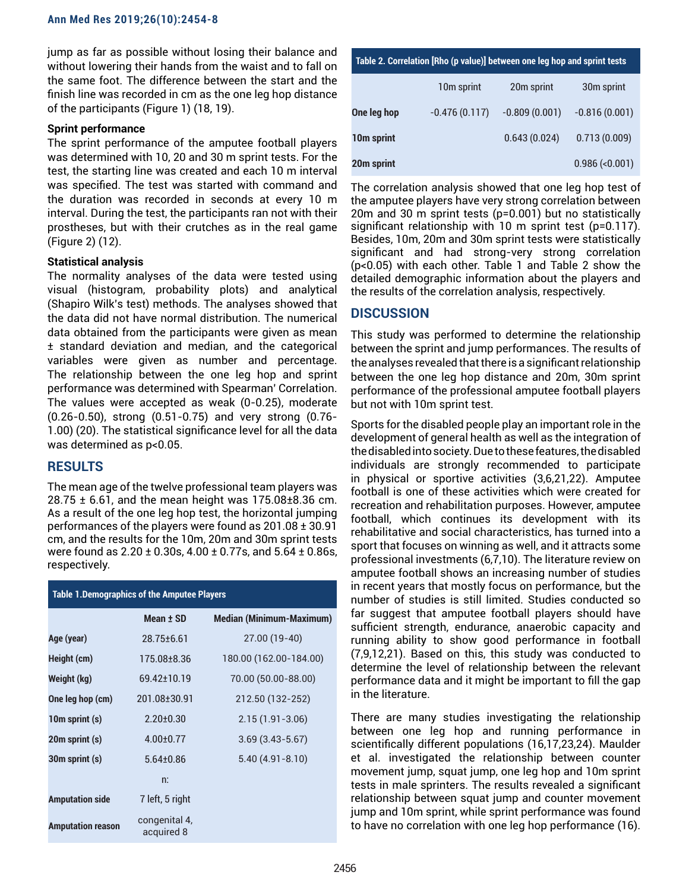jump as far as possible without losing their balance and without lowering their hands from the waist and to fall on the same foot. The difference between the start and the finish line was recorded in cm as the one leg hop distance of the participants (Figure 1) (18, 19).

#### **Sprint performance**

The sprint performance of the amputee football players was determined with 10, 20 and 30 m sprint tests. For the test, the starting line was created and each 10 m interval was specified. The test was started with command and the duration was recorded in seconds at every 10 m interval. During the test, the participants ran not with their prostheses, but with their crutches as in the real game (Figure 2) (12).

### **Statistical analysis**

The normality analyses of the data were tested using visual (histogram, probability plots) and analytical (Shapiro Wilk's test) methods. The analyses showed that the data did not have normal distribution. The numerical data obtained from the participants were given as mean ± standard deviation and median, and the categorical variables were given as number and percentage. The relationship between the one leg hop and sprint performance was determined with Spearman' Correlation. The values were accepted as weak (0-0.25), moderate (0.26-0.50), strong (0.51-0.75) and very strong (0.76- 1.00) (20). The statistical significance level for all the data was determined as p<0.05.

## **RESULTS**

The mean age of the twelve professional team players was 28.75 ± 6.61, and the mean height was 175.08±8.36 cm. As a result of the one leg hop test, the horizontal jumping performances of the players were found as 201.08 ± 30.91 cm, and the results for the 10m, 20m and 30m sprint tests were found as 2.20 ± 0.30s, 4.00 ± 0.77s, and 5.64 ± 0.86s, respectively.

| <b>Table 1.Demographics of the Amputee Players</b> |                             |                                 |  |  |
|----------------------------------------------------|-----------------------------|---------------------------------|--|--|
|                                                    | Mean ± SD                   | <b>Median (Minimum-Maximum)</b> |  |  |
| Age (year)                                         | 28.75±6.61                  | 27.00 (19-40)                   |  |  |
| Height (cm)                                        | 175.08±8.36                 | 180.00 (162.00-184.00)          |  |  |
| Weight (kg)                                        | 69.42+10.19                 | 70.00 (50.00-88.00)             |  |  |
| One leg hop (cm)                                   | 201.08±30.91                | 212.50 (132-252)                |  |  |
| 10m sprint (s)                                     | $2.20 \pm 0.30$             | $2.15(1.91 - 3.06)$             |  |  |
| 20m sprint (s)                                     | $4.00 \pm 0.77$             | $3.69(3.43 - 5.67)$             |  |  |
| 30m sprint (s)                                     | $5.64 \pm 0.86$             | $5.40(4.91 - 8.10)$             |  |  |
|                                                    | n:                          |                                 |  |  |
| <b>Amputation side</b>                             | 7 left, 5 right             |                                 |  |  |
| <b>Amputation reason</b>                           | congenital 4,<br>acquired 8 |                                 |  |  |

| Table 2. Correlation [Rho (p value)] between one leg hop and sprint tests |                 |                 |                      |  |
|---------------------------------------------------------------------------|-----------------|-----------------|----------------------|--|
|                                                                           | 10m sprint      | 20m sprint      | 30m sprint           |  |
| One leg hop                                                               | $-0.476(0.117)$ | $-0.809(0.001)$ | $-0.816(0.001)$      |  |
| 10m sprint                                                                |                 | 0.643(0.024)    | 0.713(0.009)         |  |
| 20m sprint                                                                |                 |                 | $0.986$ (< $0.001$ ) |  |

The correlation analysis showed that one leg hop test of the amputee players have very strong correlation between 20m and 30 m sprint tests (p=0.001) but no statistically significant relationship with 10 m sprint test (p=0.117). Besides, 10m, 20m and 30m sprint tests were statistically significant and had strong-very strong correlation (p<0.05) with each other. Table 1 and Table 2 show the detailed demographic information about the players and the results of the correlation analysis, respectively.

# **DISCUSSION**

This study was performed to determine the relationship between the sprint and jump performances. The results of the analyses revealed that there is a significant relationship between the one leg hop distance and 20m, 30m sprint performance of the professional amputee football players but not with 10m sprint test.

Sports for the disabled people play an important role in the development of general health as well as the integration of the disabled into society. Due to these features, the disabled individuals are strongly recommended to participate in physical or sportive activities (3,6,21,22). Amputee football is one of these activities which were created for recreation and rehabilitation purposes. However, amputee football, which continues its development with its rehabilitative and social characteristics, has turned into a sport that focuses on winning as well, and it attracts some professional investments (6,7,10). The literature review on amputee football shows an increasing number of studies in recent years that mostly focus on performance, but the number of studies is still limited. Studies conducted so far suggest that amputee football players should have sufficient strength, endurance, anaerobic capacity and running ability to show good performance in football (7,9,12,21). Based on this, this study was conducted to determine the level of relationship between the relevant performance data and it might be important to fill the gap in the literature.

There are many studies investigating the relationship between one leg hop and running performance in scientifically different populations (16,17,23,24). Maulder et al. investigated the relationship between counter movement jump, squat jump, one leg hop and 10m sprint tests in male sprinters. The results revealed a significant relationship between squat jump and counter movement jump and 10m sprint, while sprint performance was found to have no correlation with one leg hop performance (16).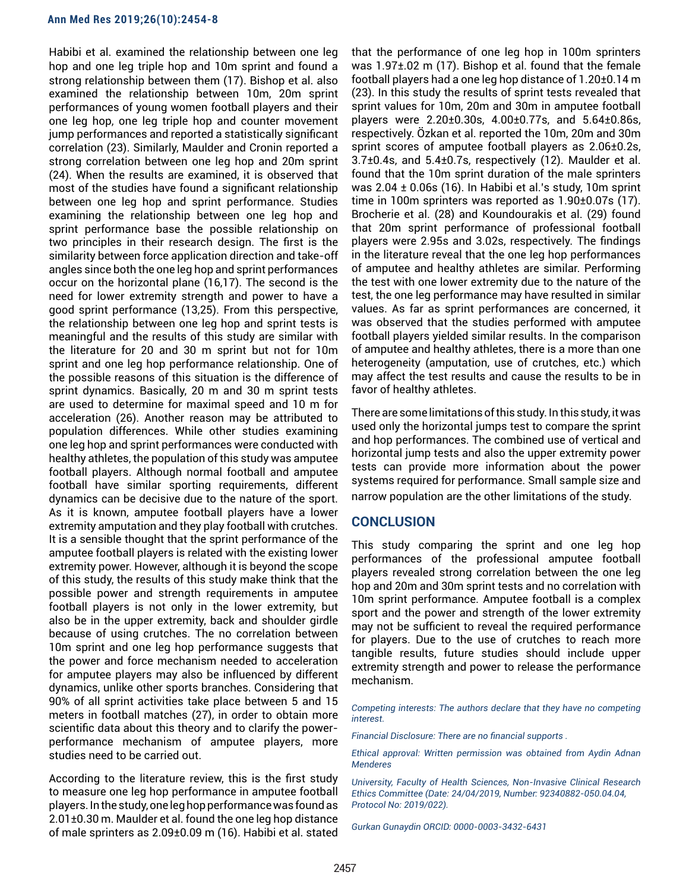Habibi et al. examined the relationship between one leg hop and one leg triple hop and 10m sprint and found a strong relationship between them (17). Bishop et al. also examined the relationship between 10m, 20m sprint performances of young women football players and their one leg hop, one leg triple hop and counter movement jump performances and reported a statistically significant correlation (23). Similarly, Maulder and Cronin reported a strong correlation between one leg hop and 20m sprint (24). When the results are examined, it is observed that most of the studies have found a significant relationship between one leg hop and sprint performance. Studies examining the relationship between one leg hop and sprint performance base the possible relationship on two principles in their research design. The first is the similarity between force application direction and take-off angles since both the one leg hop and sprint performances occur on the horizontal plane (16,17). The second is the need for lower extremity strength and power to have a good sprint performance (13,25). From this perspective, the relationship between one leg hop and sprint tests is meaningful and the results of this study are similar with the literature for 20 and 30 m sprint but not for 10m sprint and one leg hop performance relationship. One of the possible reasons of this situation is the difference of sprint dynamics. Basically, 20 m and 30 m sprint tests are used to determine for maximal speed and 10 m for acceleration (26). Another reason may be attributed to population differences. While other studies examining one leg hop and sprint performances were conducted with healthy athletes, the population of this study was amputee football players. Although normal football and amputee football have similar sporting requirements, different dynamics can be decisive due to the nature of the sport. As it is known, amputee football players have a lower extremity amputation and they play football with crutches. It is a sensible thought that the sprint performance of the amputee football players is related with the existing lower extremity power. However, although it is beyond the scope of this study, the results of this study make think that the possible power and strength requirements in amputee football players is not only in the lower extremity, but also be in the upper extremity, back and shoulder girdle because of using crutches. The no correlation between 10m sprint and one leg hop performance suggests that the power and force mechanism needed to acceleration for amputee players may also be influenced by different dynamics, unlike other sports branches. Considering that 90% of all sprint activities take place between 5 and 15 meters in football matches (27), in order to obtain more scientific data about this theory and to clarify the powerperformance mechanism of amputee players, more studies need to be carried out.

According to the literature review, this is the first study to measure one leg hop performance in amputee football players. In the study, one leg hop performance was found as 2.01±0.30 m. Maulder et al. found the one leg hop distance of male sprinters as 2.09±0.09 m (16). Habibi et al. stated that the performance of one leg hop in 100m sprinters was 1.97±.02 m (17). Bishop et al. found that the female football players had a one leg hop distance of 1.20±0.14 m (23). In this study the results of sprint tests revealed that sprint values for 10m, 20m and 30m in amputee football players were 2.20±0.30s, 4.00±0.77s, and 5.64±0.86s, respectively. Özkan et al. reported the 10m, 20m and 30m sprint scores of amputee football players as 2.06±0.2s, 3.7±0.4s, and 5.4±0.7s, respectively (12). Maulder et al. found that the 10m sprint duration of the male sprinters was 2.04 ± 0.06s (16). In Habibi et al.'s study, 10m sprint time in 100m sprinters was reported as 1.90±0.07s (17). Brocherie et al. (28) and Koundourakis et al. (29) found that 20m sprint performance of professional football players were 2.95s and 3.02s, respectively. The findings in the literature reveal that the one leg hop performances of amputee and healthy athletes are similar. Performing the test with one lower extremity due to the nature of the test, the one leg performance may have resulted in similar values. As far as sprint performances are concerned, it was observed that the studies performed with amputee football players yielded similar results. In the comparison of amputee and healthy athletes, there is a more than one heterogeneity (amputation, use of crutches, etc.) which may affect the test results and cause the results to be in favor of healthy athletes.

There are some limitations of this study. In this study, it was used only the horizontal jumps test to compare the sprint and hop performances. The combined use of vertical and horizontal jump tests and also the upper extremity power tests can provide more information about the power systems required for performance. Small sample size and narrow population are the other limitations of the study.

## **CONCLUSION**

This study comparing the sprint and one leg hop performances of the professional amputee football players revealed strong correlation between the one leg hop and 20m and 30m sprint tests and no correlation with 10m sprint performance. Amputee football is a complex sport and the power and strength of the lower extremity may not be sufficient to reveal the required performance for players. Due to the use of crutches to reach more tangible results, future studies should include upper extremity strength and power to release the performance mechanism.

*Competing interests: The authors declare that they have no competing interest.* 

*Financial Disclosure: There are no financial supports .* 

*Ethical approval: Written permission was obtained from Aydin Adnan Menderes* 

*University, Faculty of Health Sciences, Non-Invasive Clinical Research Ethics Committee (Date: 24/04/2019, Number: 92340882-050.04.04, Protocol No: 2019/022).*

*Gurkan Gunaydin ORCID: 0000-0003-3432-6431*